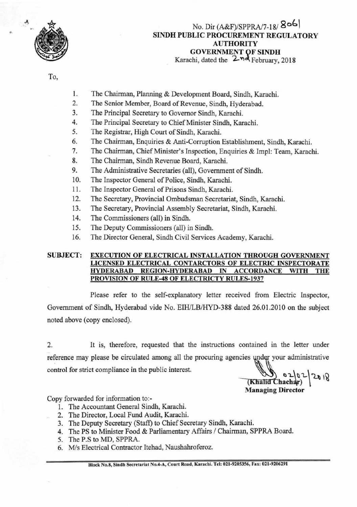

# No. Dir (A&F)/SPPRA/7-18/ **SINDH PUBLIC PROCUREMENT REGULATORY AUTHORITY GOVERNMENT QF SINDH**  Karachi, dated the  $2nd$  February, 2018

To,

- 1. The Chairman, Planning & Development Board, Sindh, Karachi.
- 2. The Senior Member, Board of Revenue, Sindh, Hyderabad.
- 3. The Principal Secretary to Governor Sindh, Karachi.
- 4. The Principal Secretary to Chief Minister Sindh, Karachi.
- 5. The Registrar, High Court of Sindh, Karachi.
- 6. The Chairman, Enquiries & Anti-Corruption Establishment, Sindh, Karachi.
- 7. The Chairman, Chief Minister's Inspection, Enquiries & Impi: Team, Karachi.
- 8. The Chairman, Sindh Revenue Board, Karachi.
- 9. The Administrative Secretaries (all), Government of Sindh.
- 10. The Inspector General of Police, Sindh, Karachi.
- 11. The Inspector General of Prisons Sindh, Karachi.
- 12. The Secretary, Provincial Ombudsman Secretariat, Sindh, Karachi.
- 13. The Secretary, Provincial Assembly Secretariat, Sindh, Karachi.
- 14. The Commissioners (all) in Sindh.
- 15. The Deputy Commissioners (all) in Sindh.
- 16. The Director General, Sindh Civil Services Academy, Karachi.

## **SUBJECT: EXECUTION OF ELECTRICAL INSTALLATION THROUGH GOVERNMENT LICENSED ELECTRICAL CONTARCTORS OF ELECTRIC INSPECTORATE HYDERABAD REGION-HYDERABAD IN ACCORDANCE WITH THE PRO VISION OF RULE-48 OF ELECTRICTY RULES-1937**

Please refer to the self-explanatory letter received from Electric Inspector, Government of Sindh, Hyderabad vide No. EIH/LB/HYD-388 dated 26.01.2010 on the subject noted above (copy enclosed).

2. It is, therefore, requested that the instructions contained in the letter under reference may please be circulated among all the procuring agencies under your administrative control for strict compliance in the public interest.

**by** 02/02  $2018$ **Managing Director** 

Copy forwarded for information to:-

- 1. The Accountant General Sindh, Karachi.
- 2. The Director, Local Fund Audit, Karachi.
- 3. The Deputy Secretary (Staff) to Chief Secretary Sindh, Karachi.
- 4. The PS to Minister Food & Parliamentary Affairs / Chairman, SPPRA Board.
- 5. The P.S to MD, SPPRA.
- 6. M/s Electrical Contractor Itehad, Naushahroferoz.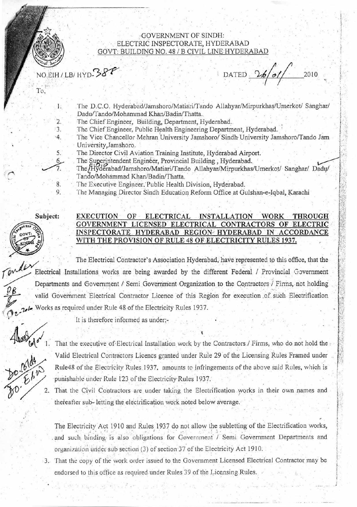

#### **GOVERNMENT OF SINDH:** ELECTRIC INSPECTORATE, HYDERABAD GOVT: BUILDING NO. 48 / B CIVIL LINE HYDERABAD

NO.EIH / LB/ HYD-38

DATED  $26/01/$ 2010

To.

1.

2.

3.

 $-4.$ 

5.

8. 9.

- The D.C.O. Hyderabad/Jamshoro/Matiari/Tando Allahyar/Mirpurkhas/Umerkot/ Sanghar/ Dadu/Tando/Mohammad Khan/Badin/Thatta.
- The Chief Engineer, Building, Department, Hyderabad.
- The Chief Engineer, Public Health Engineering Department, Hyderabad.
- The Vice Chancellor Mehran University Jamshoro/ Sindh University Jamshoro/Tando Jam University, Jamshoro.
	- The Director Civil Aviation Training Institute, Hyderabad Airport.
	- The Superintendent Engineer, Provincial Building, Hyderabad.
	- The Hyderabad/Jamshoro/Matiari/Tando Allahyar/Mirpurkhas/Umerkot/ Sanghar/ Dadu/ Tando/Mohammad Khan/Badin/Thatta.
	- The Executive Engineer, Public Health Division, Hyderabad.
	- The Managing Director Sindh Education Reform Office at Gulshan-e-Iqbal, Karachi

Subject:



# EXECUTION OF ELECTRICAL INSTALLATION WORK THROUGH GOVERNMENT LICENSED ELECTRICAL CONTRACTORS OF ELECTRIC INSPECTORATE HYDERABAD REGION HYDERABAD IN ACCORDANCE WITH THE PROVISION OF RULE 48 OF ELECTRICITY RULES 1937.

The Electrical Contractor's Association Hyderabad, have represented to this office, that the Electrical Installations works are being awarded by the different Federal / Provincial Government Departments and Government / Semi Government Organization to the Contractors / Firms, not holding valid Government Electrical Contractor Licence of this Region for execution of such Electrification Works as required under Rule 48 of the Electricity Rules 1937.

It is therefore informed as under:-



That the executive of Electrical Installation work by the Contractors / Firms, who do not hold the Valid Electrical Contractors Licencs granted under Rule 29 of the Licensing Rules Framed under Rule48 of the Electricity Rules 1937, amounts to infringements of the above said Rules, which is punishable under Rule 123 of the Electricity Rules 1937.

That the Civil Contractors are under taking the Electrification works in their own names and thereafter sub-letting the electrification work noted below average.

The Electricity Act 1910 and Rules 1937 do not allow the subletting of the Electrification works, and such binding is also obligations for Government / Semi Government Departments and organization under sub section (3) of section 37 of the Electricity Act 1910.

3. That the copy of the work order issued to the Government Licensed Electrical Contractor may be endorsed to this office as required under Rules 39 of the Licensing Rules.